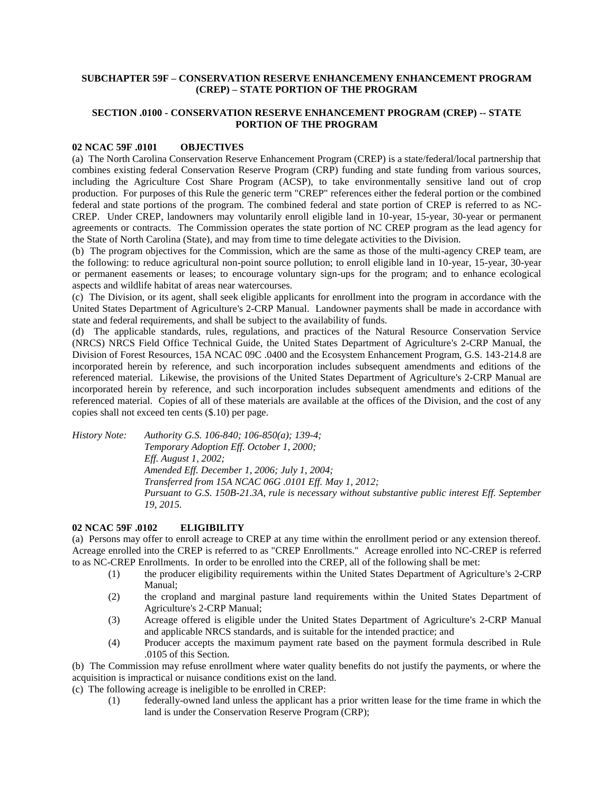## **SUBCHAPTER 59F – CONSERVATION RESERVE ENHANCEMENY ENHANCEMENT PROGRAM (CREP) – STATE PORTION OF THE PROGRAM**

## **SECTION .0100 - CONSERVATION RESERVE ENHANCEMENT PROGRAM (CREP) -- STATE PORTION OF THE PROGRAM**

## **02 NCAC 59F .0101 OBJECTIVES**

(a) The North Carolina Conservation Reserve Enhancement Program (CREP) is a state/federal/local partnership that combines existing federal Conservation Reserve Program (CRP) funding and state funding from various sources, including the Agriculture Cost Share Program (ACSP), to take environmentally sensitive land out of crop production. For purposes of this Rule the generic term "CREP" references either the federal portion or the combined federal and state portions of the program. The combined federal and state portion of CREP is referred to as NC-CREP. Under CREP, landowners may voluntarily enroll eligible land in 10-year, 15-year, 30-year or permanent agreements or contracts. The Commission operates the state portion of NC CREP program as the lead agency for the State of North Carolina (State), and may from time to time delegate activities to the Division.

(b) The program objectives for the Commission, which are the same as those of the multi-agency CREP team, are the following: to reduce agricultural non-point source pollution; to enroll eligible land in 10-year, 15-year, 30-year or permanent easements or leases; to encourage voluntary sign-ups for the program; and to enhance ecological aspects and wildlife habitat of areas near watercourses.

(c) The Division, or its agent, shall seek eligible applicants for enrollment into the program in accordance with the United States Department of Agriculture's 2-CRP Manual. Landowner payments shall be made in accordance with state and federal requirements, and shall be subject to the availability of funds.

(d) The applicable standards, rules, regulations, and practices of the Natural Resource Conservation Service (NRCS) NRCS Field Office Technical Guide, the United States Department of Agriculture's 2-CRP Manual, the Division of Forest Resources, 15A NCAC 09C .0400 and the Ecosystem Enhancement Program, G.S. 143-214.8 are incorporated herein by reference, and such incorporation includes subsequent amendments and editions of the referenced material. Likewise, the provisions of the United States Department of Agriculture's 2-CRP Manual are incorporated herein by reference, and such incorporation includes subsequent amendments and editions of the referenced material. Copies of all of these materials are available at the offices of the Division, and the cost of any copies shall not exceed ten cents (\$.10) per page.

*History Note: Authority G.S. 106-840; 106-850(a); 139-4; Temporary Adoption Eff. October 1, 2000; Eff. August 1, 2002; Amended Eff. December 1, 2006; July 1, 2004; Transferred from 15A NCAC 06G .0101 Eff. May 1, 2012; Pursuant to G.S. 150B-21.3A, rule is necessary without substantive public interest Eff. September 19, 2015.*

#### **02 NCAC 59F .0102 ELIGIBILITY**

(a) Persons may offer to enroll acreage to CREP at any time within the enrollment period or any extension thereof. Acreage enrolled into the CREP is referred to as "CREP Enrollments." Acreage enrolled into NC-CREP is referred to as NC-CREP Enrollments. In order to be enrolled into the CREP, all of the following shall be met:

- (1) the producer eligibility requirements within the United States Department of Agriculture's 2-CRP Manual;
- (2) the cropland and marginal pasture land requirements within the United States Department of Agriculture's 2-CRP Manual;
- (3) Acreage offered is eligible under the United States Department of Agriculture's 2-CRP Manual and applicable NRCS standards, and is suitable for the intended practice; and
- (4) Producer accepts the maximum payment rate based on the payment formula described in Rule .0105 of this Section.

(b) The Commission may refuse enrollment where water quality benefits do not justify the payments, or where the acquisition is impractical or nuisance conditions exist on the land.

(c) The following acreage is ineligible to be enrolled in CREP:

(1) federally-owned land unless the applicant has a prior written lease for the time frame in which the land is under the Conservation Reserve Program (CRP);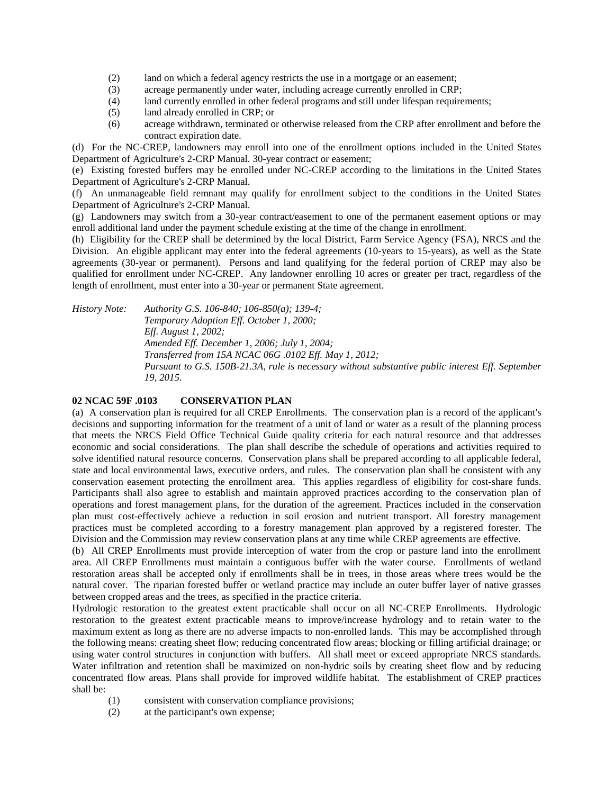- (2) land on which a federal agency restricts the use in a mortgage or an easement;
- (3) acreage permanently under water, including acreage currently enrolled in CRP;
- (4) land currently enrolled in other federal programs and still under lifespan requirements;
- (5) land already enrolled in CRP; or
- (6) acreage withdrawn, terminated or otherwise released from the CRP after enrollment and before the contract expiration date.

(d) For the NC-CREP, landowners may enroll into one of the enrollment options included in the United States Department of Agriculture's 2-CRP Manual. 30-year contract or easement;

(e) Existing forested buffers may be enrolled under NC-CREP according to the limitations in the United States Department of Agriculture's 2-CRP Manual.

(f) An unmanageable field remnant may qualify for enrollment subject to the conditions in the United States Department of Agriculture's 2-CRP Manual.

(g) Landowners may switch from a 30-year contract/easement to one of the permanent easement options or may enroll additional land under the payment schedule existing at the time of the change in enrollment.

(h) Eligibility for the CREP shall be determined by the local District, Farm Service Agency (FSA), NRCS and the Division. An eligible applicant may enter into the federal agreements (10-years to 15-years), as well as the State agreements (30-year or permanent). Persons and land qualifying for the federal portion of CREP may also be qualified for enrollment under NC-CREP. Any landowner enrolling 10 acres or greater per tract, regardless of the length of enrollment, must enter into a 30-year or permanent State agreement.

*History Note: Authority G.S. 106-840; 106-850(a); 139-4; Temporary Adoption Eff. October 1, 2000; Eff. August 1, 2002; Amended Eff. December 1, 2006; July 1, 2004; Transferred from 15A NCAC 06G .0102 Eff. May 1, 2012; Pursuant to G.S. 150B-21.3A, rule is necessary without substantive public interest Eff. September 19, 2015.*

#### **02 NCAC 59F .0103 CONSERVATION PLAN**

(a) A conservation plan is required for all CREP Enrollments. The conservation plan is a record of the applicant's decisions and supporting information for the treatment of a unit of land or water as a result of the planning process that meets the NRCS Field Office Technical Guide quality criteria for each natural resource and that addresses economic and social considerations. The plan shall describe the schedule of operations and activities required to solve identified natural resource concerns. Conservation plans shall be prepared according to all applicable federal, state and local environmental laws, executive orders, and rules. The conservation plan shall be consistent with any conservation easement protecting the enrollment area. This applies regardless of eligibility for cost-share funds. Participants shall also agree to establish and maintain approved practices according to the conservation plan of operations and forest management plans, for the duration of the agreement. Practices included in the conservation plan must cost-effectively achieve a reduction in soil erosion and nutrient transport. All forestry management practices must be completed according to a forestry management plan approved by a registered forester. The Division and the Commission may review conservation plans at any time while CREP agreements are effective.

(b) All CREP Enrollments must provide interception of water from the crop or pasture land into the enrollment area. All CREP Enrollments must maintain a contiguous buffer with the water course. Enrollments of wetland restoration areas shall be accepted only if enrollments shall be in trees, in those areas where trees would be the natural cover. The riparian forested buffer or wetland practice may include an outer buffer layer of native grasses between cropped areas and the trees, as specified in the practice criteria.

Hydrologic restoration to the greatest extent practicable shall occur on all NC-CREP Enrollments. Hydrologic restoration to the greatest extent practicable means to improve/increase hydrology and to retain water to the maximum extent as long as there are no adverse impacts to non-enrolled lands. This may be accomplished through the following means: creating sheet flow; reducing concentrated flow areas; blocking or filling artificial drainage; or using water control structures in conjunction with buffers. All shall meet or exceed appropriate NRCS standards. Water infiltration and retention shall be maximized on non-hydric soils by creating sheet flow and by reducing concentrated flow areas. Plans shall provide for improved wildlife habitat. The establishment of CREP practices shall be:

- (1) consistent with conservation compliance provisions;
- (2) at the participant's own expense;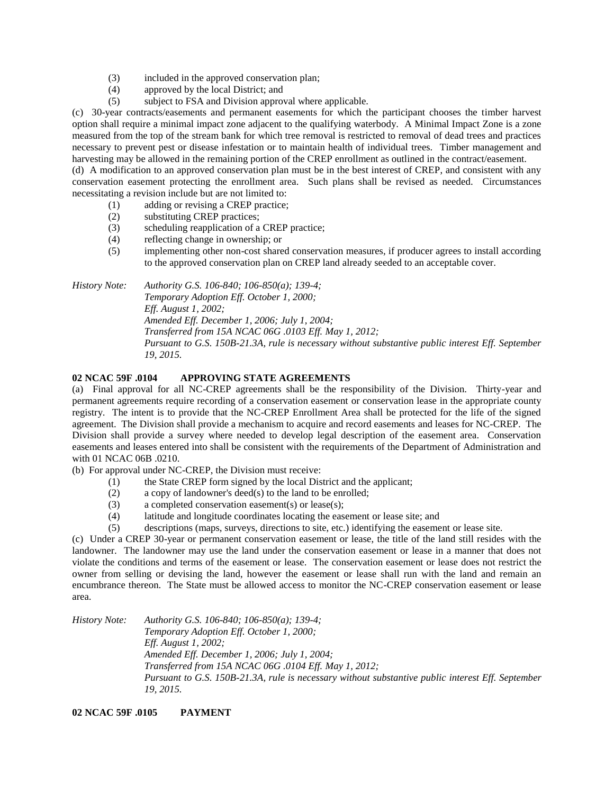- (3) included in the approved conservation plan;
- (4) approved by the local District; and
- (5) subject to FSA and Division approval where applicable.

(c) 30-year contracts/easements and permanent easements for which the participant chooses the timber harvest option shall require a minimal impact zone adjacent to the qualifying waterbody. A Minimal Impact Zone is a zone measured from the top of the stream bank for which tree removal is restricted to removal of dead trees and practices necessary to prevent pest or disease infestation or to maintain health of individual trees. Timber management and harvesting may be allowed in the remaining portion of the CREP enrollment as outlined in the contract/easement.

(d) A modification to an approved conservation plan must be in the best interest of CREP, and consistent with any conservation easement protecting the enrollment area. Such plans shall be revised as needed. Circumstances necessitating a revision include but are not limited to:

- (1) adding or revising a CREP practice;
- (2) substituting CREP practices;
- (3) scheduling reapplication of a CREP practice;
- (4) reflecting change in ownership; or
- (5) implementing other non-cost shared conservation measures, if producer agrees to install according to the approved conservation plan on CREP land already seeded to an acceptable cover.

*History Note: Authority G.S. 106-840; 106-850(a); 139-4; Temporary Adoption Eff. October 1, 2000; Eff. August 1, 2002; Amended Eff. December 1, 2006; July 1, 2004; Transferred from 15A NCAC 06G .0103 Eff. May 1, 2012; Pursuant to G.S. 150B-21.3A, rule is necessary without substantive public interest Eff. September 19, 2015.*

# **02 NCAC 59F .0104 APPROVING STATE AGREEMENTS**

(a) Final approval for all NC-CREP agreements shall be the responsibility of the Division. Thirty-year and permanent agreements require recording of a conservation easement or conservation lease in the appropriate county registry. The intent is to provide that the NC-CREP Enrollment Area shall be protected for the life of the signed agreement. The Division shall provide a mechanism to acquire and record easements and leases for NC-CREP. The Division shall provide a survey where needed to develop legal description of the easement area. Conservation easements and leases entered into shall be consistent with the requirements of the Department of Administration and with 01 NCAC 06B .0210.

(b) For approval under NC-CREP, the Division must receive:

- (1) the State CREP form signed by the local District and the applicant;
- (2) a copy of landowner's deed(s) to the land to be enrolled;
- (3) a completed conservation easement(s) or lease(s);
- (4) latitude and longitude coordinates locating the easement or lease site; and
- (5) descriptions (maps, surveys, directions to site, etc.) identifying the easement or lease site.

(c) Under a CREP 30-year or permanent conservation easement or lease, the title of the land still resides with the landowner. The landowner may use the land under the conservation easement or lease in a manner that does not violate the conditions and terms of the easement or lease. The conservation easement or lease does not restrict the owner from selling or devising the land, however the easement or lease shall run with the land and remain an encumbrance thereon. The State must be allowed access to monitor the NC-CREP conservation easement or lease area.

*History Note: Authority G.S. 106-840; 106-850(a); 139-4; Temporary Adoption Eff. October 1, 2000; Eff. August 1, 2002; Amended Eff. December 1, 2006; July 1, 2004; Transferred from 15A NCAC 06G .0104 Eff. May 1, 2012; Pursuant to G.S. 150B-21.3A, rule is necessary without substantive public interest Eff. September 19, 2015.*

#### **02 NCAC 59F .0105 PAYMENT**